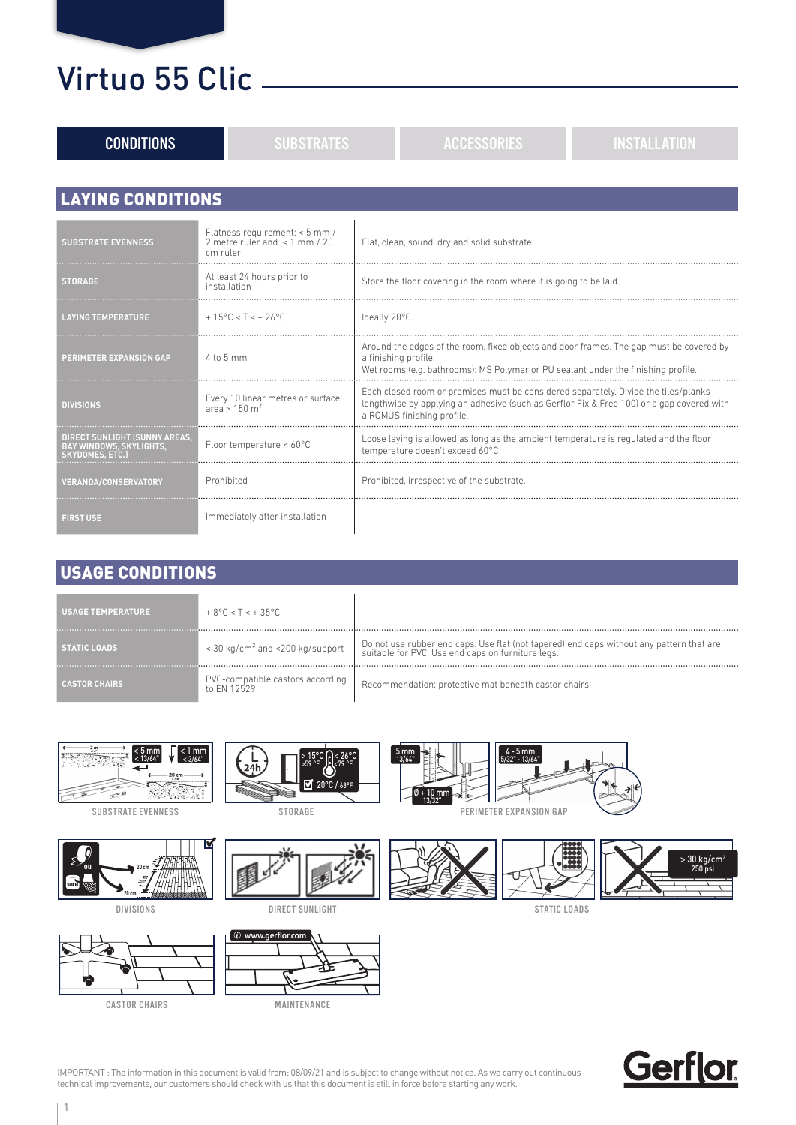| <b>CONDITIONS</b>                                                          | <b>SUBSTRATES</b>                                                                | <b>ACCESSORIES</b>                                                                                                                                                                                             | <b>INSTALLATION</b> |
|----------------------------------------------------------------------------|----------------------------------------------------------------------------------|----------------------------------------------------------------------------------------------------------------------------------------------------------------------------------------------------------------|---------------------|
| <b>LAYING CONDITIONS</b>                                                   |                                                                                  |                                                                                                                                                                                                                |                     |
|                                                                            |                                                                                  |                                                                                                                                                                                                                |                     |
| <b>SUBSTRATE EVENNESS</b>                                                  | Flatness requirement: < 5 mm /<br>2 metre ruler and $\leq$ 1 mm / 20<br>cm ruler | Flat, clean, sound, dry and solid substrate.                                                                                                                                                                   |                     |
| <b>STORAGE</b>                                                             | At least 24 hours prior to<br>installation                                       | Store the floor covering in the room where it is going to be laid.                                                                                                                                             |                     |
| <b>LAYING TEMPERATURE</b>                                                  | $+15^{\circ}$ C < T < $+26^{\circ}$ C                                            | Ideally 20°C.                                                                                                                                                                                                  |                     |
| <b>PERIMETER EXPANSION GAP</b>                                             | 4 to 5 mm                                                                        | Around the edges of the room, fixed objects and door frames. The gap must be covered by<br>a finishing profile.<br>Wet rooms (e.g. bathrooms): MS Polymer or PU sealant under the finishing profile.           |                     |
| <b>DIVISIONS</b>                                                           | Every 10 linear metres or surface<br>area > $150 \text{ m}^2$                    | Each closed room or premises must be considered separately. Divide the tiles/planks<br>lengthwise by applying an adhesive (such as Gerflor Fix & Free 100) or a gap covered with<br>a ROMUS finishing profile. |                     |
| DIRECT SUNLIGHT (SUNNY AREAS,<br>BAY WINDOWS, SKYLIGHTS,<br>SKYDOMES. ETC. | Floor temperature < 60°C                                                         | Loose laying is allowed as long as the ambient temperature is regulated and the floor<br>temperature doesn't exceed 60°C                                                                                       |                     |
| <b>VERANDA/CONSERVATORY</b>                                                | Prohibited                                                                       | Prohibited, irrespective of the substrate.                                                                                                                                                                     |                     |
| <b>FIRST USE</b>                                                           | Immediately after installation                                                   |                                                                                                                                                                                                                |                     |

#### USAGE CONDITIONS

| <b>USAGE TEMPERATURE</b> | $+8^{\circ}$ C < T < $+35^{\circ}$ C             |                                                                                                                                                 |
|--------------------------|--------------------------------------------------|-------------------------------------------------------------------------------------------------------------------------------------------------|
| <b>STATIC LOADS</b>      | $<$ 30 kg/cm <sup>2</sup> and $<$ 200 kg/support | I Do not use rubber end caps. Use flat (not tapered) end caps without any pattern that are<br>suitable for PVC. Use end caps on furniture legs. |
| <b>CASTOR CHAIRS</b>     | PVC-compatible castors according<br>to FN 12529  | Recommendation: protective mat beneath castor chairs.                                                                                           |



SUBSTRATE EVENNESS



DIVISIONS





STORAGE



DIRECT SUNLIGHT







STATIC LOADS



IMPORTANT : The information in this document is valid from: 08/09/21 and is subject to change without notice. As we carry out continuous technical improvements, our customers should check with us that this document is still in force before starting any work.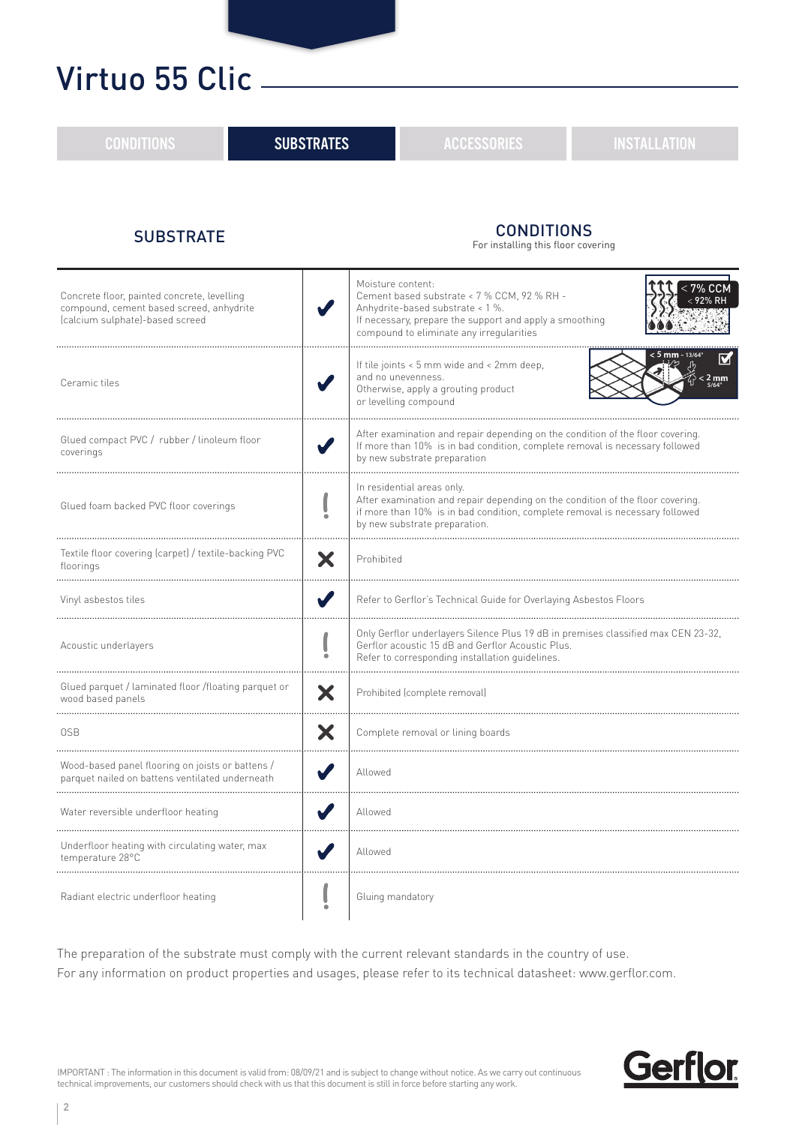| <b>CONDITIONS</b>                                                                                                          | <b>SUBSTRATES</b> |                                                                                                                                                                                                                               | <b>ACCESSORIES</b>                                                                                                                                                                     | <b>INSTALLATION</b> |
|----------------------------------------------------------------------------------------------------------------------------|-------------------|-------------------------------------------------------------------------------------------------------------------------------------------------------------------------------------------------------------------------------|----------------------------------------------------------------------------------------------------------------------------------------------------------------------------------------|---------------------|
| <b>SUBSTRATE</b>                                                                                                           |                   |                                                                                                                                                                                                                               | <b>CONDITIONS</b><br>For installing this floor covering                                                                                                                                |                     |
| Concrete floor, painted concrete, levelling<br>compound, cement based screed, anhydrite<br>(calcium sulphate)-based screed |                   | Moisture content:                                                                                                                                                                                                             | Cement based substrate < 7 % CCM, 92 % RH -<br>Anhydrite-based substrate < 1 %.<br>If necessary, prepare the support and apply a smoothing<br>compound to eliminate any irregularities | < 7% CCM            |
| Ceramic tiles                                                                                                              |                   | < <b>5 mm</b> - 13/64<br>If tile joints < 5 mm wide and < 2mm deep,<br>and no unevenness.<br>$< 2 \text{ mm}$<br>Otherwise, apply a grouting product<br>or levelling compound                                                 |                                                                                                                                                                                        |                     |
| Glued compact PVC / rubber / linoleum floor<br>coverings                                                                   |                   | After examination and repair depending on the condition of the floor covering.<br>If more than 10% is in bad condition, complete removal is necessary followed<br>by new substrate preparation                                |                                                                                                                                                                                        |                     |
| Glued foam backed PVC floor coverings                                                                                      |                   | In residential areas only.<br>After examination and repair depending on the condition of the floor covering.<br>if more than 10% is in bad condition, complete removal is necessary followed<br>by new substrate preparation. |                                                                                                                                                                                        |                     |
| Textile floor covering (carpet) / textile-backing PVC<br>X<br>floorings                                                    |                   | Prohibited                                                                                                                                                                                                                    |                                                                                                                                                                                        |                     |
| V<br>Vinyl asbestos tiles                                                                                                  |                   | Refer to Gerflor's Technical Guide for Overlaying Asbestos Floors                                                                                                                                                             |                                                                                                                                                                                        |                     |
| Acoustic underlayers                                                                                                       |                   | Only Gerflor underlayers Silence Plus 19 dB in premises classified max CEN 23-32,<br>Gerflor acoustic 15 dB and Gerflor Acoustic Plus.<br>Refer to corresponding installation guidelines.                                     |                                                                                                                                                                                        |                     |
| Glued parquet / laminated floor /floating parquet or<br>X<br>wood based panels                                             |                   | Prohibited (complete removal)                                                                                                                                                                                                 |                                                                                                                                                                                        |                     |
| Х<br>0SB                                                                                                                   |                   | Complete removal or lining boards                                                                                                                                                                                             |                                                                                                                                                                                        |                     |
| Wood-based panel flooring on joists or battens /<br>parquet nailed on battens ventilated underneath                        |                   | Allowed                                                                                                                                                                                                                       |                                                                                                                                                                                        |                     |
| Water reversible underfloor heating                                                                                        |                   | Allowed                                                                                                                                                                                                                       |                                                                                                                                                                                        |                     |
| Underfloor heating with circulating water, max<br>temperature 28°C                                                         |                   | Allowed                                                                                                                                                                                                                       |                                                                                                                                                                                        |                     |
| Radiant electric underfloor heating                                                                                        |                   | Gluing mandatory                                                                                                                                                                                                              |                                                                                                                                                                                        |                     |

The preparation of the substrate must comply with the current relevant standards in the country of use. For any information on product properties and usages, please refer to its technical datasheet: www.gerflor.com.



IMPORTANT : The information in this document is valid from: 08/09/21 and is subject to change without notice. As we carry out continuous technical improvements, our customers should check with us that this document is still in force before starting any work.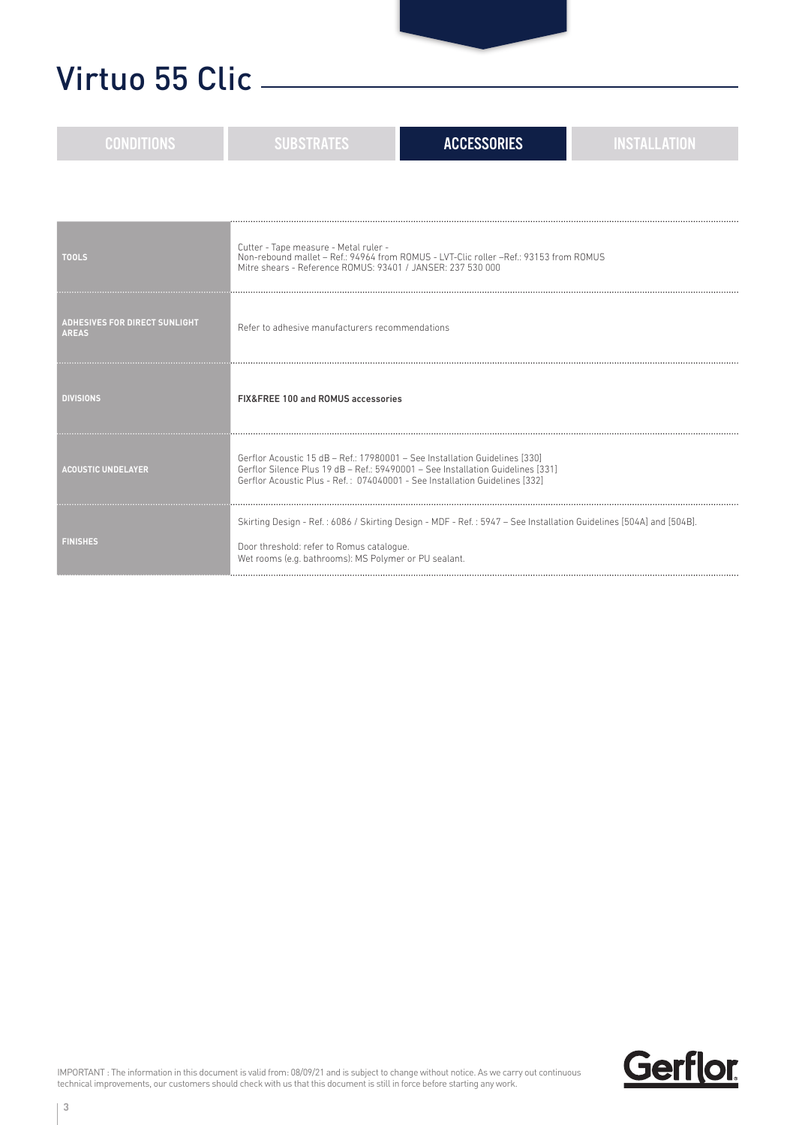| <b>CONDITIONS</b>                                    | <b>SUBSTRATES</b>                                                                                                                                                                                                                             | <b>ACCESSORIES</b>                                                                                                 | <b>INSTALLATION</b> |
|------------------------------------------------------|-----------------------------------------------------------------------------------------------------------------------------------------------------------------------------------------------------------------------------------------------|--------------------------------------------------------------------------------------------------------------------|---------------------|
|                                                      |                                                                                                                                                                                                                                               |                                                                                                                    |                     |
| <b>TOOLS</b>                                         | Cutter - Tape measure - Metal ruler -<br>Mitre shears - Reference ROMUS: 93401 / JANSER: 237 530 000                                                                                                                                          | Non-rebound mallet - Ref.: 94964 from ROMUS - LVT-Clic roller - Ref.: 93153 from ROMUS                             |                     |
| <b>ADHESIVES FOR DIRECT SUNLIGHT</b><br><b>AREAS</b> | Refer to adhesive manufacturers recommendations                                                                                                                                                                                               |                                                                                                                    |                     |
| <b>DIVISIONS</b>                                     | FIX&FREE 100 and ROMUS accessories                                                                                                                                                                                                            |                                                                                                                    |                     |
| <b>ACOUSTIC UNDELAYER</b>                            | Gerflor Acoustic 15 dB - Ref.: 17980001 - See Installation Guidelines [330]<br>Gerflor Silence Plus 19 dB - Ref.: 59490001 - See Installation Guidelines [331]<br>Gerflor Acoustic Plus - Ref.: 074040001 - See Installation Guidelines [332] |                                                                                                                    |                     |
| <b>FINISHES</b>                                      | Door threshold: refer to Romus catalogue.<br>Wet rooms (e.g. bathrooms): MS Polymer or PU sealant.                                                                                                                                            | Skirting Design - Ref.: 6086 / Skirting Design - MDF - Ref.: 5947 - See Installation Guidelines [504A] and [504B]. |                     |

**3**

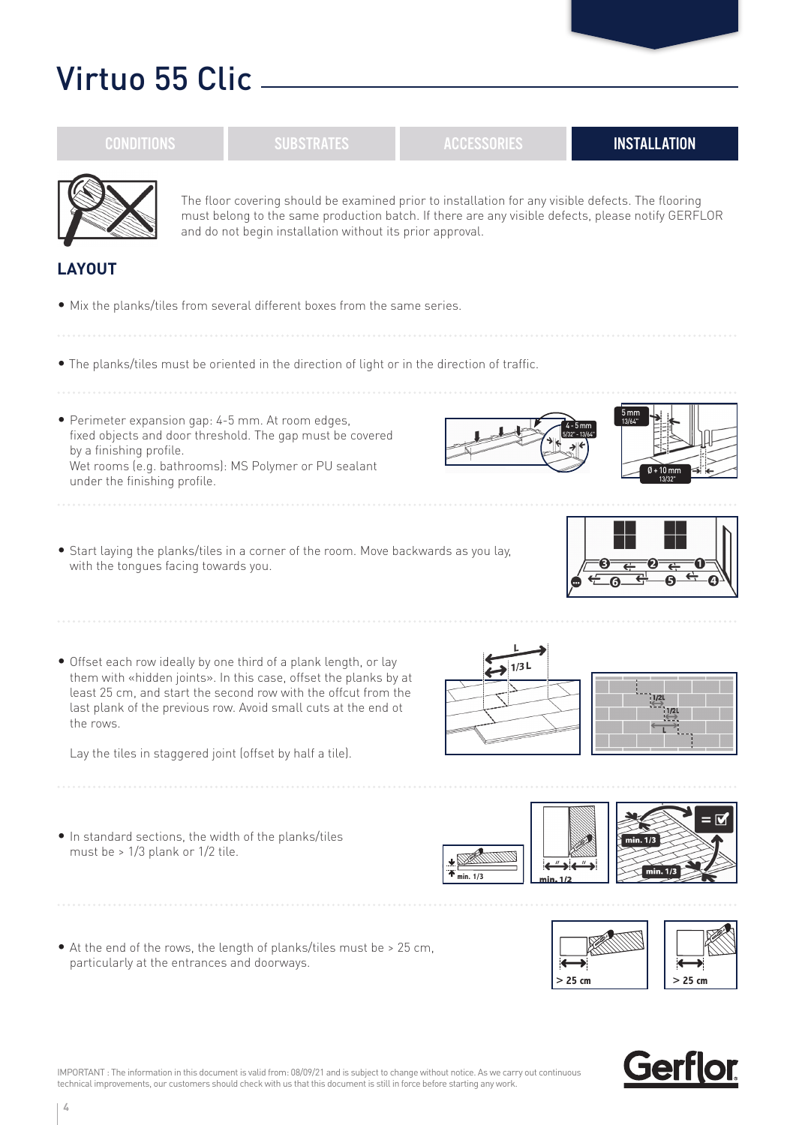|                                                         | The floor covering should be examined prior to installation for any visible defects. The flooring<br>must belong to the same production batch. If there are any visible defects, please notify GERFLOR<br>and do not begin installation without its prior approval.                                                                   |                                    |                           |                                            |
|---------------------------------------------------------|---------------------------------------------------------------------------------------------------------------------------------------------------------------------------------------------------------------------------------------------------------------------------------------------------------------------------------------|------------------------------------|---------------------------|--------------------------------------------|
| <b>LAYOUT</b>                                           |                                                                                                                                                                                                                                                                                                                                       |                                    |                           |                                            |
|                                                         | . Mix the planks/tiles from several different boxes from the same series.                                                                                                                                                                                                                                                             |                                    |                           |                                            |
|                                                         | . The planks/tiles must be oriented in the direction of light or in the direction of traffic.                                                                                                                                                                                                                                         |                                    |                           |                                            |
| by a finishing profile.<br>under the finishing profile. | · Perimeter expansion gap: 4-5 mm. At room edges,<br>fixed objects and door threshold. The gap must be covered<br>Wet rooms (e.g. bathrooms): MS Polymer or PU sealant                                                                                                                                                                |                                    | 5 <sub>mm</sub><br>13/64* | $0 + 10$ mm                                |
| with the tongues facing towards you.                    | • Start laying the planks/tiles in a corner of the room. Move backwards as you lay,                                                                                                                                                                                                                                                   |                                    |                           |                                            |
| the rows.                                               | • Offset each row ideally by one third of a plank length, or lay<br>them with «hidden joints». In this case, offset the planks by at<br>least 25 cm, and start the second row with the offcut from the<br>last plank of the previous row. Avoid small cuts at the end ot<br>Lay the tiles in staggered joint (offset by half a tile). | $\leftrightarrow$ 1/3 L            |                           | 1/2L                                       |
| must be $> 1/3$ plank or $1/2$ tile.                    | . In standard sections, the width of the planks/tiles                                                                                                                                                                                                                                                                                 | $\overline{\textbf{A}}$ min. $1/3$ | min. 1                    | $=$ $\overline{M}$<br>min. 1/3<br>min. 1/3 |
| particularly at the entrances and doorways.             | • At the end of the rows, the length of planks/tiles must be > 25 cm,                                                                                                                                                                                                                                                                 |                                    | $>25$ cm                  | $> 25$ cm                                  |

CONDITIONS RUBSTRATES ACCESSORIES INSTALLATION



IMPORTANT : The information in this document is valid from: 08/09/21 and is subject to change without notice. As we carry out continuous technical improvements, our customers should check with us that this document is still in force before starting any work.